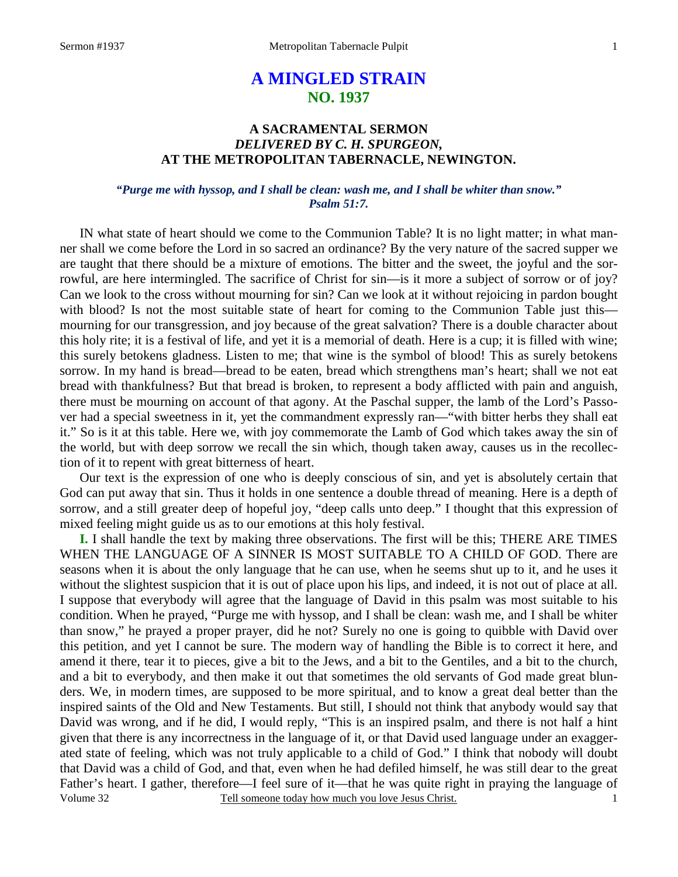## **A MINGLED STRAIN NO. 1937**

## **A SACRAMENTAL SERMON**  *DELIVERED BY C. H. SPURGEON,* **AT THE METROPOLITAN TABERNACLE, NEWINGTON.**

#### *"Purge me with hyssop, and I shall be clean: wash me, and I shall be whiter than snow." Psalm 51:7.*

IN what state of heart should we come to the Communion Table? It is no light matter; in what manner shall we come before the Lord in so sacred an ordinance? By the very nature of the sacred supper we are taught that there should be a mixture of emotions. The bitter and the sweet, the joyful and the sorrowful, are here intermingled. The sacrifice of Christ for sin—is it more a subject of sorrow or of joy? Can we look to the cross without mourning for sin? Can we look at it without rejoicing in pardon bought with blood? Is not the most suitable state of heart for coming to the Communion Table just this mourning for our transgression, and joy because of the great salvation? There is a double character about this holy rite; it is a festival of life, and yet it is a memorial of death. Here is a cup; it is filled with wine; this surely betokens gladness. Listen to me; that wine is the symbol of blood! This as surely betokens sorrow. In my hand is bread—bread to be eaten, bread which strengthens man's heart; shall we not eat bread with thankfulness? But that bread is broken, to represent a body afflicted with pain and anguish, there must be mourning on account of that agony. At the Paschal supper, the lamb of the Lord's Passover had a special sweetness in it, yet the commandment expressly ran—"with bitter herbs they shall eat it." So is it at this table. Here we, with joy commemorate the Lamb of God which takes away the sin of the world, but with deep sorrow we recall the sin which, though taken away, causes us in the recollection of it to repent with great bitterness of heart.

 Our text is the expression of one who is deeply conscious of sin, and yet is absolutely certain that God can put away that sin. Thus it holds in one sentence a double thread of meaning. Here is a depth of sorrow, and a still greater deep of hopeful joy, "deep calls unto deep." I thought that this expression of mixed feeling might guide us as to our emotions at this holy festival.

Volume 32 Tell someone today how much you love Jesus Christ. **I.** I shall handle the text by making three observations. The first will be this; THERE ARE TIMES WHEN THE LANGUAGE OF A SINNER IS MOST SUITABLE TO A CHILD OF GOD. There are seasons when it is about the only language that he can use, when he seems shut up to it, and he uses it without the slightest suspicion that it is out of place upon his lips, and indeed, it is not out of place at all. I suppose that everybody will agree that the language of David in this psalm was most suitable to his condition. When he prayed, "Purge me with hyssop, and I shall be clean: wash me, and I shall be whiter than snow," he prayed a proper prayer, did he not? Surely no one is going to quibble with David over this petition, and yet I cannot be sure. The modern way of handling the Bible is to correct it here, and amend it there, tear it to pieces, give a bit to the Jews, and a bit to the Gentiles, and a bit to the church, and a bit to everybody, and then make it out that sometimes the old servants of God made great blunders. We, in modern times, are supposed to be more spiritual, and to know a great deal better than the inspired saints of the Old and New Testaments. But still, I should not think that anybody would say that David was wrong, and if he did, I would reply, "This is an inspired psalm, and there is not half a hint given that there is any incorrectness in the language of it, or that David used language under an exaggerated state of feeling, which was not truly applicable to a child of God." I think that nobody will doubt that David was a child of God, and that, even when he had defiled himself, he was still dear to the great Father's heart. I gather, therefore—I feel sure of it—that he was quite right in praying the language of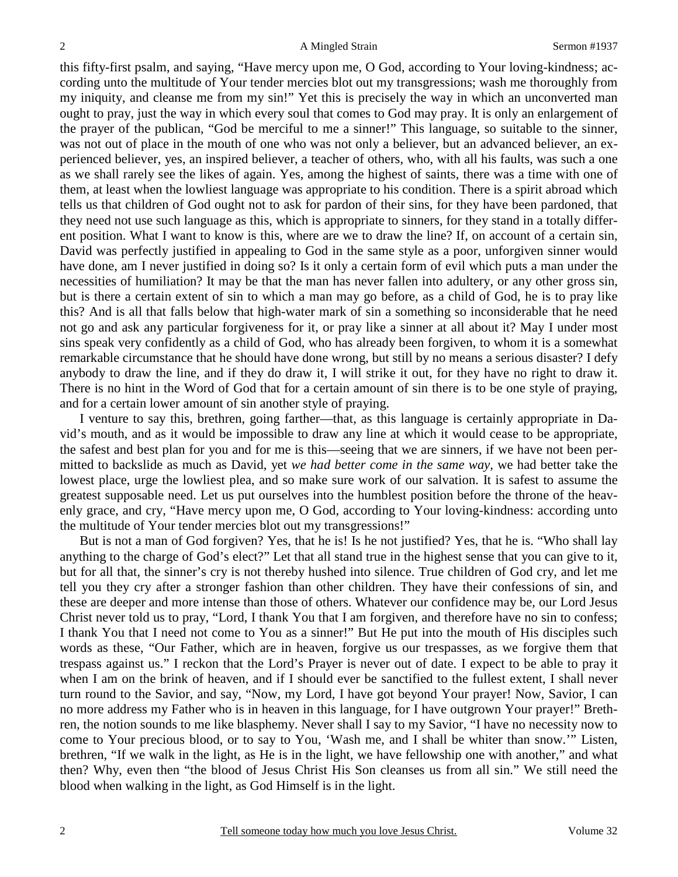this fifty-first psalm, and saying, "Have mercy upon me, O God, according to Your loving-kindness; according unto the multitude of Your tender mercies blot out my transgressions; wash me thoroughly from my iniquity, and cleanse me from my sin!" Yet this is precisely the way in which an unconverted man ought to pray, just the way in which every soul that comes to God may pray. It is only an enlargement of the prayer of the publican, "God be merciful to me a sinner!" This language, so suitable to the sinner, was not out of place in the mouth of one who was not only a believer, but an advanced believer, an experienced believer, yes, an inspired believer, a teacher of others, who, with all his faults, was such a one as we shall rarely see the likes of again. Yes, among the highest of saints, there was a time with one of them, at least when the lowliest language was appropriate to his condition. There is a spirit abroad which tells us that children of God ought not to ask for pardon of their sins, for they have been pardoned, that they need not use such language as this, which is appropriate to sinners, for they stand in a totally different position. What I want to know is this, where are we to draw the line? If, on account of a certain sin, David was perfectly justified in appealing to God in the same style as a poor, unforgiven sinner would have done, am I never justified in doing so? Is it only a certain form of evil which puts a man under the necessities of humiliation? It may be that the man has never fallen into adultery, or any other gross sin, but is there a certain extent of sin to which a man may go before, as a child of God, he is to pray like this? And is all that falls below that high-water mark of sin a something so inconsiderable that he need not go and ask any particular forgiveness for it, or pray like a sinner at all about it? May I under most sins speak very confidently as a child of God, who has already been forgiven, to whom it is a somewhat remarkable circumstance that he should have done wrong, but still by no means a serious disaster? I defy anybody to draw the line, and if they do draw it, I will strike it out, for they have no right to draw it. There is no hint in the Word of God that for a certain amount of sin there is to be one style of praying, and for a certain lower amount of sin another style of praying.

 I venture to say this, brethren, going farther—that, as this language is certainly appropriate in David's mouth, and as it would be impossible to draw any line at which it would cease to be appropriate, the safest and best plan for you and for me is this—seeing that we are sinners, if we have not been permitted to backslide as much as David, yet *we had better come in the same way,* we had better take the lowest place, urge the lowliest plea, and so make sure work of our salvation. It is safest to assume the greatest supposable need. Let us put ourselves into the humblest position before the throne of the heavenly grace, and cry, "Have mercy upon me, O God, according to Your loving-kindness: according unto the multitude of Your tender mercies blot out my transgressions!"

 But is not a man of God forgiven? Yes, that he is! Is he not justified? Yes, that he is. "Who shall lay anything to the charge of God's elect?" Let that all stand true in the highest sense that you can give to it, but for all that, the sinner's cry is not thereby hushed into silence. True children of God cry, and let me tell you they cry after a stronger fashion than other children. They have their confessions of sin, and these are deeper and more intense than those of others. Whatever our confidence may be, our Lord Jesus Christ never told us to pray, "Lord, I thank You that I am forgiven, and therefore have no sin to confess; I thank You that I need not come to You as a sinner!" But He put into the mouth of His disciples such words as these, "Our Father, which are in heaven, forgive us our trespasses, as we forgive them that trespass against us." I reckon that the Lord's Prayer is never out of date. I expect to be able to pray it when I am on the brink of heaven, and if I should ever be sanctified to the fullest extent, I shall never turn round to the Savior, and say, "Now, my Lord, I have got beyond Your prayer! Now, Savior, I can no more address my Father who is in heaven in this language, for I have outgrown Your prayer!" Brethren, the notion sounds to me like blasphemy. Never shall I say to my Savior, "I have no necessity now to come to Your precious blood, or to say to You, 'Wash me, and I shall be whiter than snow.'" Listen, brethren, "If we walk in the light, as He is in the light, we have fellowship one with another," and what then? Why, even then "the blood of Jesus Christ His Son cleanses us from all sin." We still need the blood when walking in the light, as God Himself is in the light.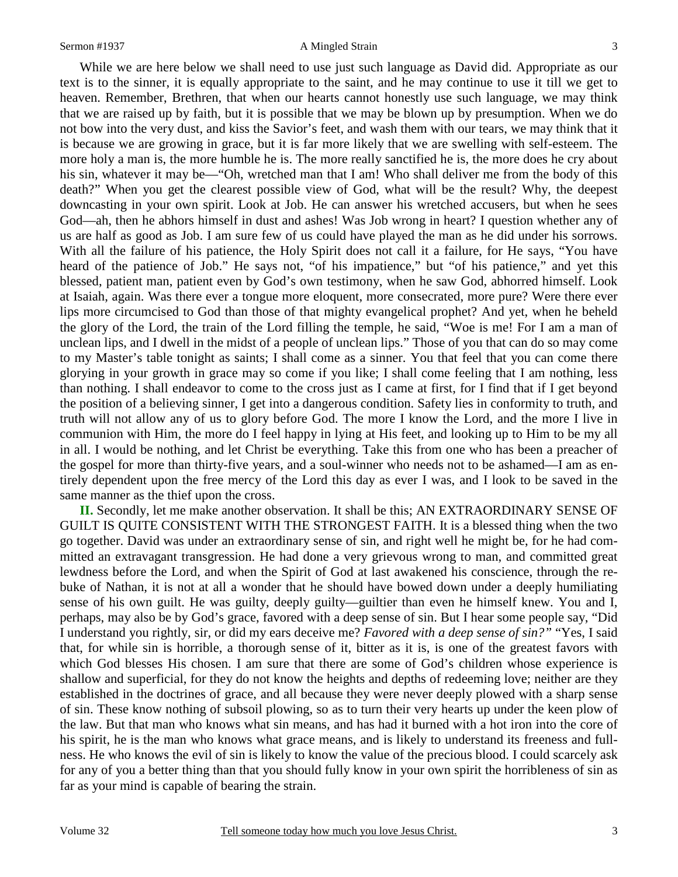#### Sermon #1937 **A Mingled Strain** 3

 While we are here below we shall need to use just such language as David did. Appropriate as our text is to the sinner, it is equally appropriate to the saint, and he may continue to use it till we get to heaven. Remember, Brethren, that when our hearts cannot honestly use such language, we may think that we are raised up by faith, but it is possible that we may be blown up by presumption. When we do not bow into the very dust, and kiss the Savior's feet, and wash them with our tears, we may think that it is because we are growing in grace, but it is far more likely that we are swelling with self-esteem. The more holy a man is, the more humble he is. The more really sanctified he is, the more does he cry about his sin, whatever it may be—"Oh, wretched man that I am! Who shall deliver me from the body of this death?" When you get the clearest possible view of God, what will be the result? Why, the deepest downcasting in your own spirit. Look at Job. He can answer his wretched accusers, but when he sees God—ah, then he abhors himself in dust and ashes! Was Job wrong in heart? I question whether any of us are half as good as Job. I am sure few of us could have played the man as he did under his sorrows. With all the failure of his patience, the Holy Spirit does not call it a failure, for He says, "You have heard of the patience of Job." He says not, "of his impatience," but "of his patience," and yet this blessed, patient man, patient even by God's own testimony, when he saw God, abhorred himself. Look at Isaiah, again. Was there ever a tongue more eloquent, more consecrated, more pure? Were there ever lips more circumcised to God than those of that mighty evangelical prophet? And yet, when he beheld the glory of the Lord, the train of the Lord filling the temple, he said, "Woe is me! For I am a man of unclean lips, and I dwell in the midst of a people of unclean lips." Those of you that can do so may come to my Master's table tonight as saints; I shall come as a sinner. You that feel that you can come there glorying in your growth in grace may so come if you like; I shall come feeling that I am nothing, less than nothing. I shall endeavor to come to the cross just as I came at first, for I find that if I get beyond the position of a believing sinner, I get into a dangerous condition. Safety lies in conformity to truth, and truth will not allow any of us to glory before God. The more I know the Lord, and the more I live in communion with Him, the more do I feel happy in lying at His feet, and looking up to Him to be my all in all. I would be nothing, and let Christ be everything. Take this from one who has been a preacher of the gospel for more than thirty-five years, and a soul-winner who needs not to be ashamed—I am as entirely dependent upon the free mercy of the Lord this day as ever I was, and I look to be saved in the same manner as the thief upon the cross.

**II.** Secondly, let me make another observation. It shall be this; AN EXTRAORDINARY SENSE OF GUILT IS QUITE CONSISTENT WITH THE STRONGEST FAITH. It is a blessed thing when the two go together. David was under an extraordinary sense of sin, and right well he might be, for he had committed an extravagant transgression. He had done a very grievous wrong to man, and committed great lewdness before the Lord, and when the Spirit of God at last awakened his conscience, through the rebuke of Nathan, it is not at all a wonder that he should have bowed down under a deeply humiliating sense of his own guilt. He was guilty, deeply guilty—guiltier than even he himself knew. You and I, perhaps, may also be by God's grace, favored with a deep sense of sin. But I hear some people say, "Did I understand you rightly, sir, or did my ears deceive me? *Favored with a deep sense of sin?"* "Yes, I said that, for while sin is horrible, a thorough sense of it, bitter as it is, is one of the greatest favors with which God blesses His chosen. I am sure that there are some of God's children whose experience is shallow and superficial, for they do not know the heights and depths of redeeming love; neither are they established in the doctrines of grace, and all because they were never deeply plowed with a sharp sense of sin. These know nothing of subsoil plowing, so as to turn their very hearts up under the keen plow of the law. But that man who knows what sin means, and has had it burned with a hot iron into the core of his spirit, he is the man who knows what grace means, and is likely to understand its freeness and fullness. He who knows the evil of sin is likely to know the value of the precious blood. I could scarcely ask for any of you a better thing than that you should fully know in your own spirit the horribleness of sin as far as your mind is capable of bearing the strain.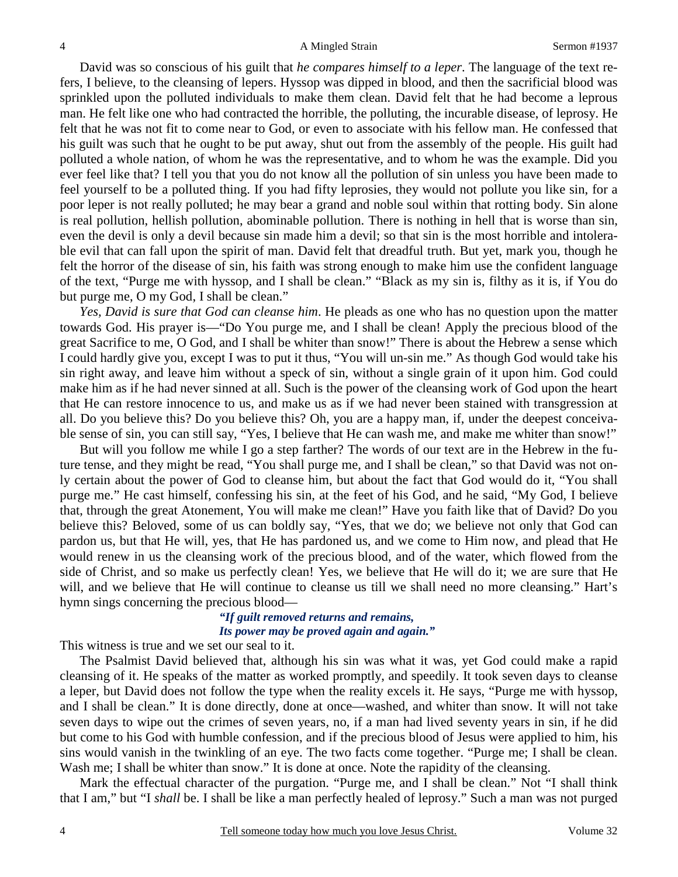David was so conscious of his guilt that *he compares himself to a leper*. The language of the text refers, I believe, to the cleansing of lepers. Hyssop was dipped in blood, and then the sacrificial blood was sprinkled upon the polluted individuals to make them clean. David felt that he had become a leprous man. He felt like one who had contracted the horrible, the polluting, the incurable disease, of leprosy. He felt that he was not fit to come near to God, or even to associate with his fellow man. He confessed that his guilt was such that he ought to be put away, shut out from the assembly of the people. His guilt had polluted a whole nation, of whom he was the representative, and to whom he was the example. Did you ever feel like that? I tell you that you do not know all the pollution of sin unless you have been made to feel yourself to be a polluted thing. If you had fifty leprosies, they would not pollute you like sin, for a poor leper is not really polluted; he may bear a grand and noble soul within that rotting body. Sin alone is real pollution, hellish pollution, abominable pollution. There is nothing in hell that is worse than sin, even the devil is only a devil because sin made him a devil; so that sin is the most horrible and intolerable evil that can fall upon the spirit of man. David felt that dreadful truth. But yet, mark you, though he felt the horror of the disease of sin, his faith was strong enough to make him use the confident language of the text, "Purge me with hyssop, and I shall be clean." "Black as my sin is, filthy as it is, if You do but purge me, O my God, I shall be clean."

*Yes, David is sure that God can cleanse him*. He pleads as one who has no question upon the matter towards God. His prayer is—"Do You purge me, and I shall be clean! Apply the precious blood of the great Sacrifice to me, O God, and I shall be whiter than snow!" There is about the Hebrew a sense which I could hardly give you, except I was to put it thus, "You will un-sin me." As though God would take his sin right away, and leave him without a speck of sin, without a single grain of it upon him. God could make him as if he had never sinned at all. Such is the power of the cleansing work of God upon the heart that He can restore innocence to us, and make us as if we had never been stained with transgression at all. Do you believe this? Do you believe this? Oh, you are a happy man, if, under the deepest conceivable sense of sin, you can still say, "Yes, I believe that He can wash me, and make me whiter than snow!"

 But will you follow me while I go a step farther? The words of our text are in the Hebrew in the future tense, and they might be read, "You shall purge me, and I shall be clean," so that David was not only certain about the power of God to cleanse him, but about the fact that God would do it, "You shall purge me." He cast himself, confessing his sin, at the feet of his God, and he said, "My God, I believe that, through the great Atonement, You will make me clean!" Have you faith like that of David? Do you believe this? Beloved, some of us can boldly say, "Yes, that we do; we believe not only that God can pardon us, but that He will, yes, that He has pardoned us, and we come to Him now, and plead that He would renew in us the cleansing work of the precious blood, and of the water, which flowed from the side of Christ, and so make us perfectly clean! Yes, we believe that He will do it; we are sure that He will, and we believe that He will continue to cleanse us till we shall need no more cleansing." Hart's hymn sings concerning the precious blood—

### *"If guilt removed returns and remains, Its power may be proved again and again."*

This witness is true and we set our seal to it.

 The Psalmist David believed that, although his sin was what it was, yet God could make a rapid cleansing of it. He speaks of the matter as worked promptly, and speedily. It took seven days to cleanse a leper, but David does not follow the type when the reality excels it. He says, "Purge me with hyssop, and I shall be clean." It is done directly, done at once—washed, and whiter than snow. It will not take seven days to wipe out the crimes of seven years, no, if a man had lived seventy years in sin, if he did but come to his God with humble confession, and if the precious blood of Jesus were applied to him, his sins would vanish in the twinkling of an eye. The two facts come together. "Purge me; I shall be clean. Wash me; I shall be whiter than snow." It is done at once. Note the rapidity of the cleansing.

 Mark the effectual character of the purgation. "Purge me, and I shall be clean." Not "I shall think that I am," but "I *shall* be. I shall be like a man perfectly healed of leprosy." Such a man was not purged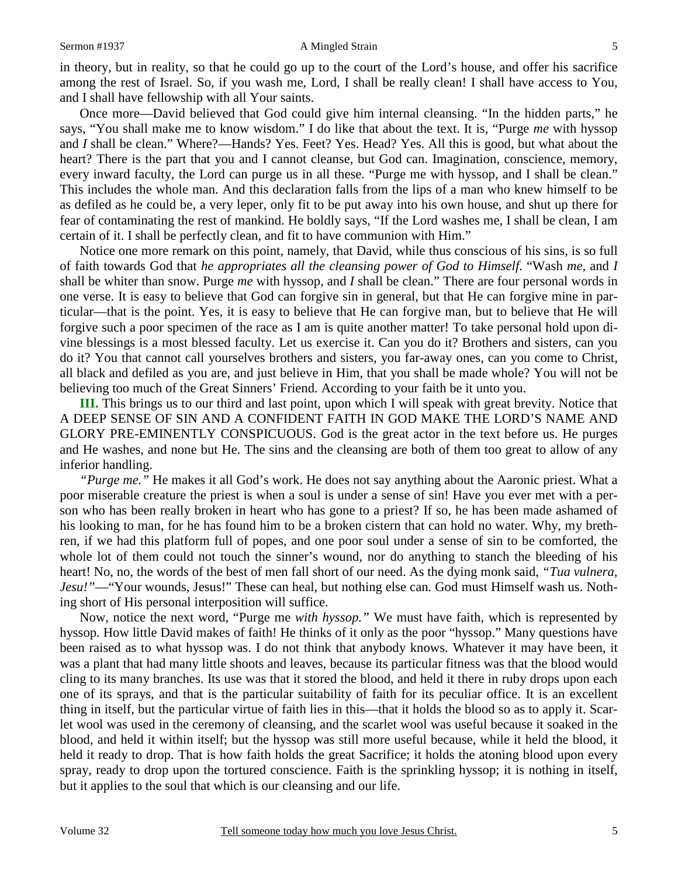#### Sermon #1937 **A** Mingled Strain 5

in theory, but in reality, so that he could go up to the court of the Lord's house, and offer his sacrifice among the rest of Israel. So, if you wash me, Lord, I shall be really clean! I shall have access to You, and I shall have fellowship with all Your saints.

 Once more—David believed that God could give him internal cleansing. "In the hidden parts," he says, "You shall make me to know wisdom." I do like that about the text. It is, "Purge *me* with hyssop and *I* shall be clean." Where?—Hands? Yes. Feet? Yes. Head? Yes. All this is good, but what about the heart? There is the part that you and I cannot cleanse, but God can. Imagination, conscience, memory, every inward faculty, the Lord can purge us in all these. "Purge me with hyssop, and I shall be clean." This includes the whole man. And this declaration falls from the lips of a man who knew himself to be as defiled as he could be, a very leper, only fit to be put away into his own house, and shut up there for fear of contaminating the rest of mankind. He boldly says, "If the Lord washes me, I shall be clean, I am certain of it. I shall be perfectly clean, and fit to have communion with Him."

 Notice one more remark on this point, namely, that David, while thus conscious of his sins, is so full of faith towards God that *he appropriates all the cleansing power of God to Himself*. "Wash *me,* and *I* shall be whiter than snow. Purge *me* with hyssop, and *I* shall be clean." There are four personal words in one verse. It is easy to believe that God can forgive sin in general, but that He can forgive mine in particular—that is the point. Yes, it is easy to believe that He can forgive man, but to believe that He will forgive such a poor specimen of the race as I am is quite another matter! To take personal hold upon divine blessings is a most blessed faculty. Let us exercise it. Can you do it? Brothers and sisters, can you do it? You that cannot call yourselves brothers and sisters, you far-away ones, can you come to Christ, all black and defiled as you are, and just believe in Him, that you shall be made whole? You will not be believing too much of the Great Sinners' Friend. According to your faith be it unto you.

**III.** This brings us to our third and last point, upon which I will speak with great brevity. Notice that A DEEP SENSE OF SIN AND A CONFIDENT FAITH IN GOD MAKE THE LORD'S NAME AND GLORY PRE-EMINENTLY CONSPICUOUS. God is the great actor in the text before us. He purges and He washes, and none but He. The sins and the cleansing are both of them too great to allow of any inferior handling.

*"Purge me."* He makes it all God's work. He does not say anything about the Aaronic priest. What a poor miserable creature the priest is when a soul is under a sense of sin! Have you ever met with a person who has been really broken in heart who has gone to a priest? If so, he has been made ashamed of his looking to man, for he has found him to be a broken cistern that can hold no water. Why, my brethren, if we had this platform full of popes, and one poor soul under a sense of sin to be comforted, the whole lot of them could not touch the sinner's wound, nor do anything to stanch the bleeding of his heart! No, no, the words of the best of men fall short of our need. As the dying monk said, *"Tua vulnera, Jesu!"*—"Your wounds, Jesus!" These can heal, but nothing else can. God must Himself wash us. Nothing short of His personal interposition will suffice.

 Now, notice the next word, "Purge me *with hyssop."* We must have faith, which is represented by hyssop. How little David makes of faith! He thinks of it only as the poor "hyssop." Many questions have been raised as to what hyssop was. I do not think that anybody knows. Whatever it may have been, it was a plant that had many little shoots and leaves, because its particular fitness was that the blood would cling to its many branches. Its use was that it stored the blood, and held it there in ruby drops upon each one of its sprays, and that is the particular suitability of faith for its peculiar office. It is an excellent thing in itself, but the particular virtue of faith lies in this—that it holds the blood so as to apply it. Scarlet wool was used in the ceremony of cleansing, and the scarlet wool was useful because it soaked in the blood, and held it within itself; but the hyssop was still more useful because, while it held the blood, it held it ready to drop. That is how faith holds the great Sacrifice; it holds the atoning blood upon every spray, ready to drop upon the tortured conscience. Faith is the sprinkling hyssop; it is nothing in itself, but it applies to the soul that which is our cleansing and our life.